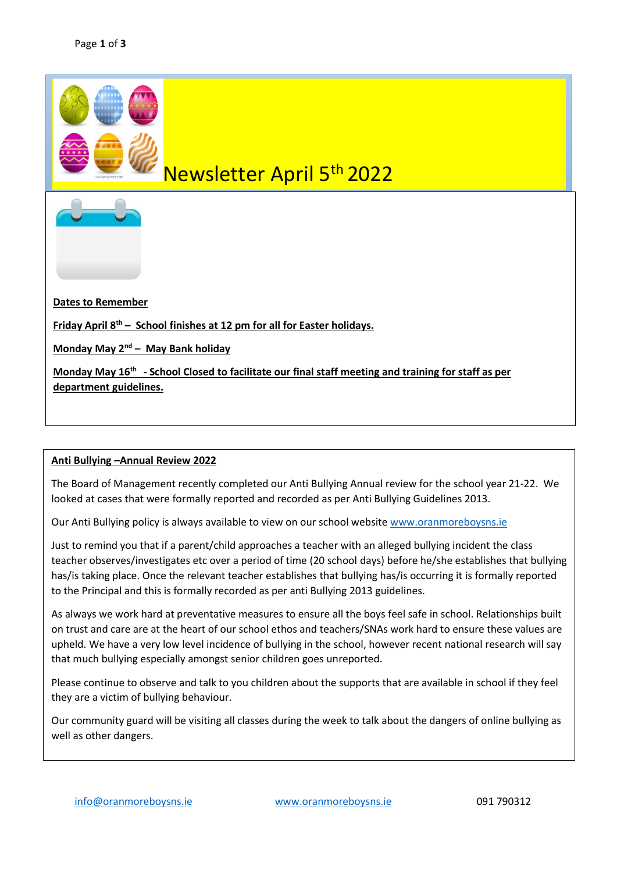

## Newsletter April 5th 2022

**Dates to Remember**

**Friday April 8 th – School finishes at 12 pm for all for Easter holidays.**

**Monday May 2nd – May Bank holiday** 

**Monday May 16th - School Closed to facilitate our final staff meeting and training for staff as per department guidelines.** 

## **Anti Bullying –Annual Review 2022**

The Board of Management recently completed our Anti Bullying Annual review for the school year 21-22. We looked at cases that were formally reported and recorded as per Anti Bullying Guidelines 2013.

Our Anti Bullying policy is always available to view on our school websit[e www.oranmoreboysns.ie](file:///C:/Users/Teacher/AppData/Roaming/Microsoft/Word/www.oranmoreboysns.ie)

Just to remind you that if a parent/child approaches a teacher with an alleged bullying incident the class teacher observes/investigates etc over a period of time (20 school days) before he/she establishes that bullying has/is taking place. Once the relevant teacher establishes that bullying has/is occurring it is formally reported to the Principal and this is formally recorded as per anti Bullying 2013 guidelines.

As always we work hard at preventative measures to ensure all the boys feel safe in school. Relationships built on trust and care are at the heart of our school ethos and teachers/SNAs work hard to ensure these values are upheld. We have a very low level incidence of bullying in the school, however recent national research will say that much bullying especially amongst senior children goes unreported.

Please continue to observe and talk to you children about the supports that are available in school if they feel they are a victim of bullying behaviour.

Our community guard will be visiting all classes during the week to talk about the dangers of online bullying as well as other dangers.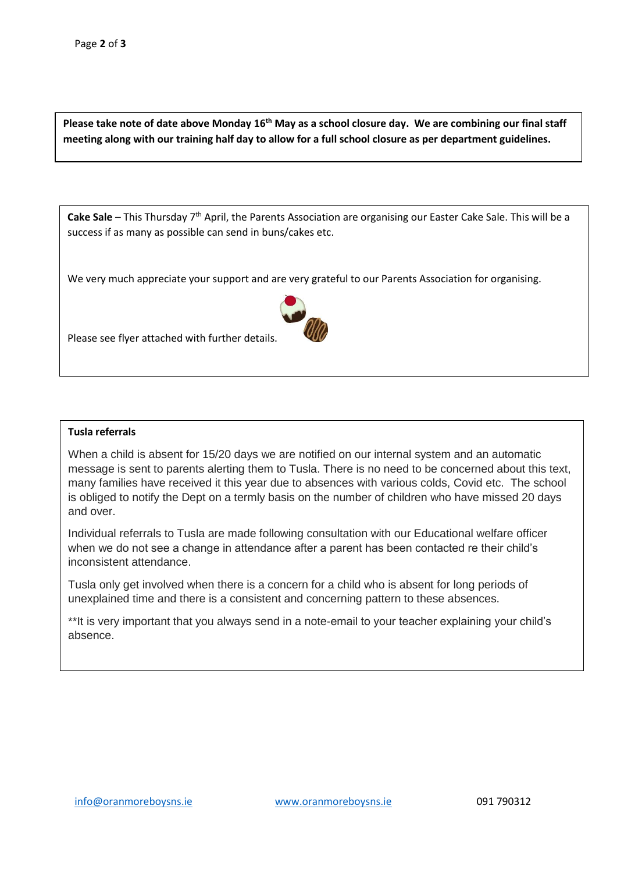**Please take note of date above Monday 16th May as a school closure day. We are combining our final staff meeting along with our training half day to allow for a full school closure as per department guidelines.** 

Cake Sale – This Thursday 7<sup>th</sup> April, the Parents Association are organising our Easter Cake Sale. This will be a success if as many as possible can send in buns/cakes etc.

We very much appreciate your support and are very grateful to our Parents Association for organising.





## **Tusla referrals**

When a child is absent for 15/20 days we are notified on our internal system and an automatic message is sent to parents alerting them to Tusla. There is no need to be concerned about this text, many families have received it this year due to absences with various colds, Covid etc. The school is obliged to notify the Dept on a termly basis on the number of children who have missed 20 days and over.

Individual referrals to Tusla are made following consultation with our Educational welfare officer when we do not see a change in attendance after a parent has been contacted re their child's inconsistent attendance.

Tusla only get involved when there is a concern for a child who is absent for long periods of unexplained time and there is a consistent and concerning pattern to these absences.

\*\*It is very important that you always send in a note-email to your teacher explaining your child's absence.